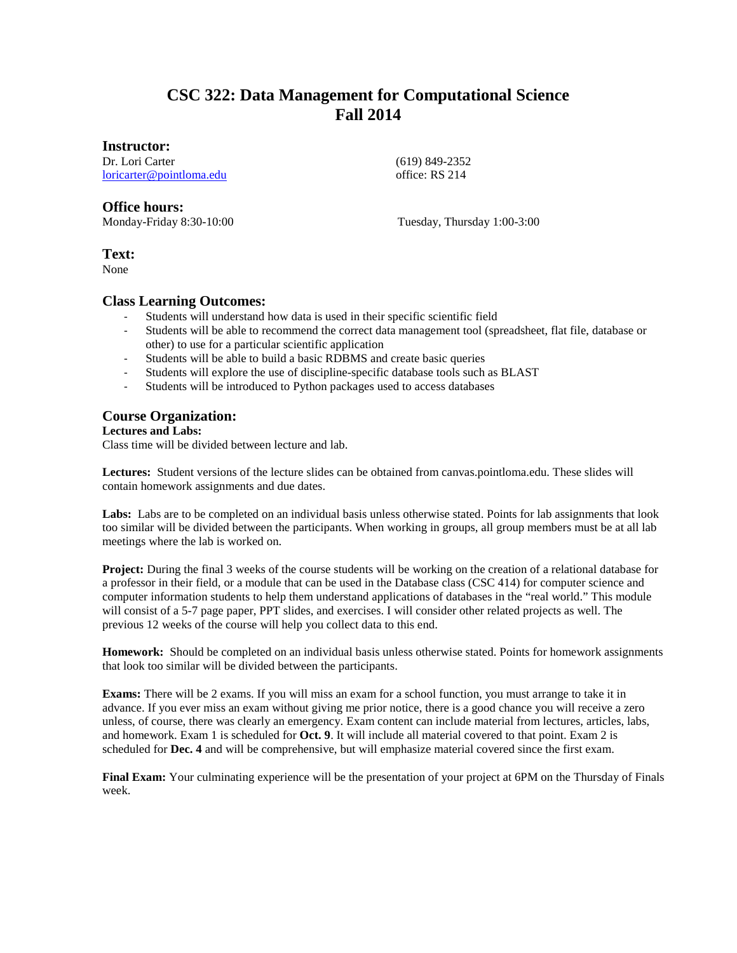# **CSC 322: Data Management for Computational Science Fall 2014**

#### **Instructor:**

Dr. Lori Carter [loricarter@pointloma.edu](mailto:loricarter@pointloma.edu)  (619) 849-2352 office: RS 214

## **Office hours:**

Monday-Friday 8:30-10:00 Tuesday, Thursday 1:00-3:00

### **Text:**

None

#### **Class Learning Outcomes:**

- Students will understand how data is used in their specific scientific field
- Students will be able to recommend the correct data management tool (spreadsheet, flat file, database or other) to use for a particular scientific application
- Students will be able to build a basic RDBMS and create basic queries
- Students will explore the use of discipline-specific database tools such as BLAST
- Students will be introduced to Python packages used to access databases

## **Course Organization:**

#### **Lectures and Labs:**

Class time will be divided between lecture and lab.

**Lectures:** Student versions of the lecture slides can be obtained from canvas.pointloma.edu. These slides will contain homework assignments and due dates.

Labs: Labs are to be completed on an individual basis unless otherwise stated. Points for lab assignments that look too similar will be divided between the participants. When working in groups, all group members must be at all lab meetings where the lab is worked on.

**Project:** During the final 3 weeks of the course students will be working on the creation of a relational database for a professor in their field, or a module that can be used in the Database class (CSC 414) for computer science and computer information students to help them understand applications of databases in the "real world." This module will consist of a 5-7 page paper, PPT slides, and exercises. I will consider other related projects as well. The previous 12 weeks of the course will help you collect data to this end.

**Homework:** Should be completed on an individual basis unless otherwise stated. Points for homework assignments that look too similar will be divided between the participants.

**Exams:** There will be 2 exams. If you will miss an exam for a school function, you must arrange to take it in advance. If you ever miss an exam without giving me prior notice, there is a good chance you will receive a zero unless, of course, there was clearly an emergency. Exam content can include material from lectures, articles, labs, and homework. Exam 1 is scheduled for **Oct. 9**. It will include all material covered to that point. Exam 2 is scheduled for **Dec. 4** and will be comprehensive, but will emphasize material covered since the first exam.

**Final Exam:** Your culminating experience will be the presentation of your project at 6PM on the Thursday of Finals week.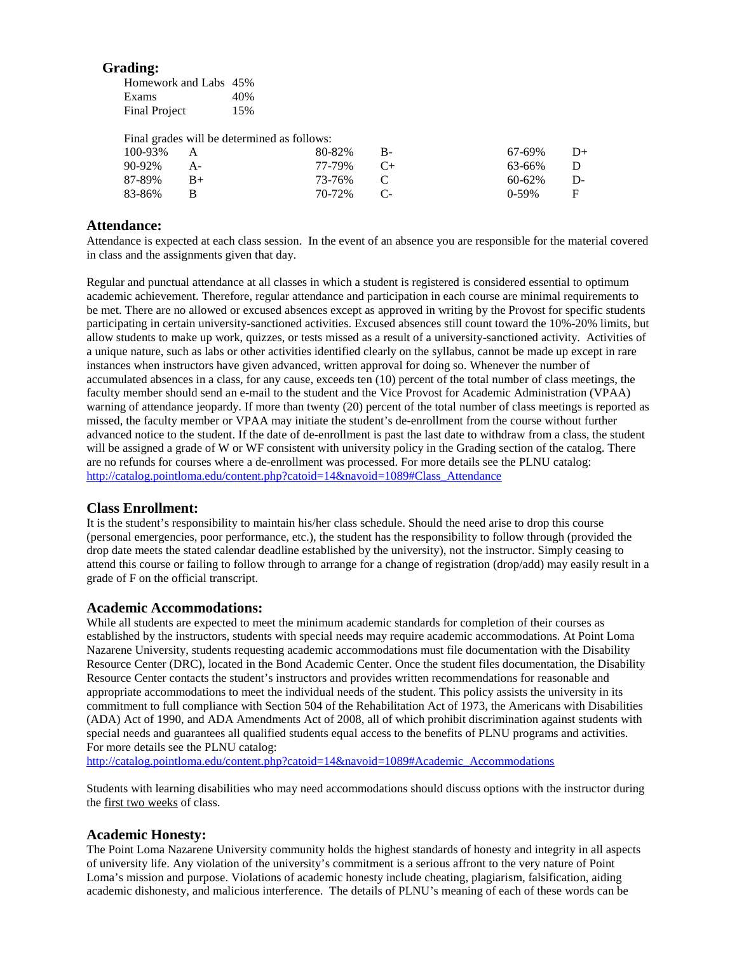#### **Grading:**

| Homework and Labs 45% |     |
|-----------------------|-----|
| Exams                 | 40% |
| <b>Final Project</b>  | 15% |

Final grades will be determined as follows:

| 100-93% | $\overline{A}$ | $80-82\%$ B- | $67-69\%$ D+ |  |
|---------|----------------|--------------|--------------|--|
| 90-92%  | $A-$           | 77-79% C+    | 63-66% D     |  |
| 87-89%  | $B+$           | 73-76% C     | $60-62\%$ D- |  |
| 83-86%  |                | 70-72% C-    | $0.59\%$ F   |  |

#### **Attendance:**

Attendance is expected at each class session. In the event of an absence you are responsible for the material covered in class and the assignments given that day.

Regular and punctual attendance at all classes in which a student is registered is considered essential to optimum academic achievement. Therefore, regular attendance and participation in each course are minimal requirements to be met. There are no allowed or excused absences except as approved in writing by the Provost for specific students participating in certain university-sanctioned activities. Excused absences still count toward the 10%-20% limits, but allow students to make up work, quizzes, or tests missed as a result of a university-sanctioned activity. Activities of a unique nature, such as labs or other activities identified clearly on the syllabus, cannot be made up except in rare instances when instructors have given advanced, written approval for doing so. Whenever the number of accumulated absences in a class, for any cause, exceeds ten (10) percent of the total number of class meetings, the faculty member should send an e-mail to the student and the Vice Provost for Academic Administration (VPAA) warning of attendance jeopardy. If more than twenty (20) percent of the total number of class meetings is reported as missed, the faculty member or VPAA may initiate the student's de-enrollment from the course without further advanced notice to the student. If the date of de-enrollment is past the last date to withdraw from a class, the student will be assigned a grade of W or WF consistent with university policy in the Grading section of the catalog. There are no refunds for courses where a de-enrollment was processed. For more details see the PLNU catalog: [http://catalog.pointloma.edu/content.php?catoid=14&navoid=1089#Class\\_Attendance](http://catalog.pointloma.edu/content.php?catoid=14&navoid=1089#Class_Attendance)

### **Class Enrollment:**

It is the student's responsibility to maintain his/her class schedule. Should the need arise to drop this course (personal emergencies, poor performance, etc.), the student has the responsibility to follow through (provided the drop date meets the stated calendar deadline established by the university), not the instructor. Simply ceasing to attend this course or failing to follow through to arrange for a change of registration (drop/add) may easily result in a grade of F on the official transcript.

#### **Academic Accommodations:**

While all students are expected to meet the minimum academic standards for completion of their courses as established by the instructors, students with special needs may require academic accommodations. At Point Loma Nazarene University, students requesting academic accommodations must file documentation with the Disability Resource Center (DRC), located in the Bond Academic Center. Once the student files documentation, the Disability Resource Center contacts the student's instructors and provides written recommendations for reasonable and appropriate accommodations to meet the individual needs of the student. This policy assists the university in its commitment to full compliance with Section 504 of the Rehabilitation Act of 1973, the Americans with Disabilities (ADA) Act of 1990, and ADA Amendments Act of 2008, all of which prohibit discrimination against students with special needs and guarantees all qualified students equal access to the benefits of PLNU programs and activities. For more details see the PLNU catalog:

[http://catalog.pointloma.edu/content.php?catoid=14&navoid=1089#Academic\\_Accommodations](http://catalog.pointloma.edu/content.php?catoid=14&navoid=1089#Academic_Accommodations)

Students with learning disabilities who may need accommodations should discuss options with the instructor during the first two weeks of class.

#### **Academic Honesty:**

The Point Loma Nazarene University community holds the highest standards of honesty and integrity in all aspects of university life. Any violation of the university's commitment is a serious affront to the very nature of Point Loma's mission and purpose. Violations of academic honesty include cheating, plagiarism, falsification, aiding academic dishonesty, and malicious interference. The details of PLNU's meaning of each of these words can be